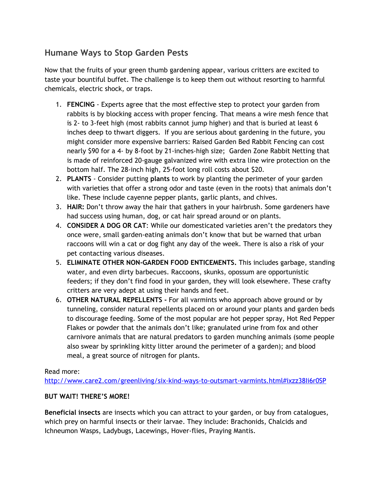## **Humane Ways to Stop Garden Pests**

Now that the fruits of your green thumb gardening appear, various critters are excited to taste your bountiful buffet. The challenge is to keep them out without resorting to harmful chemicals, electric shock, or traps.

- 1. **FENCING** Experts agree that the most effective step to protect your garden from rabbits is by blocking access with proper fencing. That means a wire mesh fence that is 2- to 3-feet high (most rabbits cannot jump higher) and that is buried at least 6 inches deep to thwart diggers. If you are serious about gardening in the future, you might consider more expensive barriers: Raised Garden Bed Rabbit Fencing can cost nearly \$90 for a 4- by 8-foot by 21-inches-high size; Garden Zone Rabbit Netting that is made of reinforced 20-gauge galvanized wire with extra line wire protection on the bottom half. The 28-inch high, 25-foot long roll costs about \$20.
- 2. **PLANTS** Consider putting **plants**to work by planting the perimeter of your garden with varieties that offer a strong odor and taste (even in the roots) that animals don't like. These include cayenne pepper plants, garlic plants, and chives.
- 3. **HAIR:**Don't throw away the hair that gathers in your hairbrush. Some gardeners have had success using human, dog, or cat hair spread around or on plants.
- 4. **CONSIDER A DOG OR CAT**: While our domesticated varieties aren't the predators they once were, small garden-eating animals don't know that but be warned that urban raccoons will win a cat or dog fight any day of the week. There is also a risk of your pet contacting various diseases.
- 5. **ELIMINATE OTHER NON-GARDEN FOOD ENTICEMENTS.**This includes garbage, standing water, and even dirty barbecues. Raccoons, skunks, opossum are opportunistic feeders; if they don't find food in your garden, they will look elsewhere. These crafty critters are very adept at using their hands and feet.
- 6. **OTHER NATURAL REPELLENTS -**For all varmints who approach above ground or by tunneling, consider natural repellents placed on or around your plants and garden beds to discourage feeding. Some of the most popular are hot pepper spray, Hot Red Pepper Flakes or powder that the animals don't like; granulated urine from fox and other carnivore animals that are natural predators to garden munching animals (some people also swear by sprinkling kitty litter around the perimeter of a garden); and blood meal, a great source of nitrogen for plants.

Read more:

<http://www.care2.com/greenliving/six-kind-ways-to-outsmart-varmints.html#ixzz38Ii6r0SP>

## **BUT WAIT! THERE'S MORE!**

**Beneficial insects**are insects which you can attract to your garden, or buy from catalogues, which prey on harmful insects or their larvae. They include: Brachonids, Chalcids and Ichneumon Wasps, Ladybugs, Lacewings, Hover-flies, Praying Mantis.